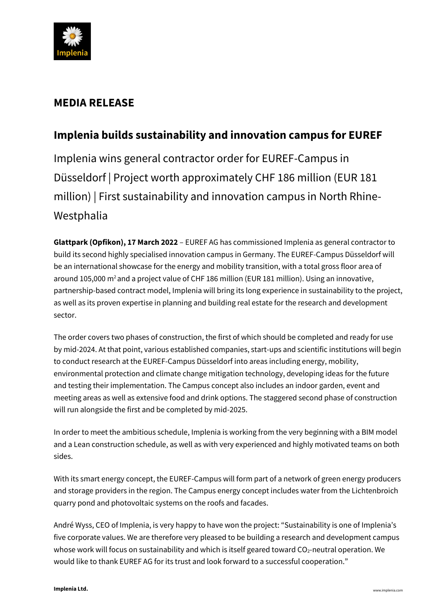

## **MEDIA RELEASE**

# **Implenia builds sustainability and innovation campus for EUREF**

Implenia wins general contractor order for EUREF-Campus in Düsseldorf | Project worth approximately CHF 186 million (EUR 181 million) | First sustainability and innovation campus in North Rhine-Westphalia

**Glattpark (Opfikon), 17 March 2022** – EUREF AG has commissioned Implenia as general contractor to build its second highly specialised innovation campus in Germany. The EUREF-Campus Düsseldorf will be an international showcase for the energy and mobility transition, with a total gross floor area of around 105,000 m<sup>2</sup> and a project value of CHF 186 million (EUR 181 million). Using an innovative, partnership-based contract model, Implenia will bring its long experience in sustainability to the project, as well as its proven expertise in planning and building real estate for the research and development sector.

The order covers two phases of construction, the first of which should be completed and ready for use by mid-2024. At that point, various established companies, start-ups and scientific institutions will begin to conduct research at the EUREF-Campus Düsseldorf into areas including energy, mobility, environmental protection and climate change mitigation technology, developing ideas for the future and testing their implementation. The Campus concept also includes an indoor garden, event and meeting areas as well as extensive food and drink options. The staggered second phase of construction will run alongside the first and be completed by mid-2025.

In order to meet the ambitious schedule, Implenia is working from the very beginning with a BIM model and a Lean construction schedule, as well as with very experienced and highly motivated teams on both sides.

With its smart energy concept, the EUREF-Campus will form part of a network of green energy producers and storage providers in the region. The Campus energy concept includes water from the Lichtenbroich quarry pond and photovoltaic systems on the roofs and facades.

André Wyss, CEO of Implenia, is very happy to have won the project: "Sustainability is one of Implenia's five corporate values. We are therefore very pleased to be building a research and development campus whose work will focus on sustainability and which is itself geared toward  $CO<sub>2</sub>$ -neutral operation. We would like to thank EUREF AG for its trust and look forward to a successful cooperation."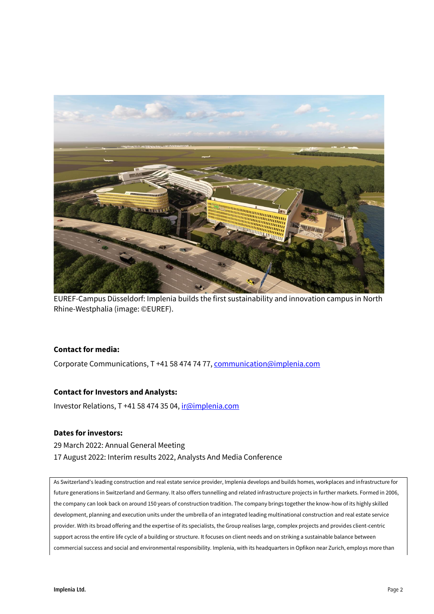

EUREF-Campus Düsseldorf: Implenia builds the first sustainability and innovation campus in North Rhine-Westphalia (image: ©EUREF).

#### **Contact for media:**

Corporate Communications, T +41 58 474 74 77[, communication@implenia.com](mailto:communication@implenia.com)

### **Contact for Investors and Analysts:**

Investor Relations, T +41 58 474 35 04, [ir@implenia.com](mailto:ir@implenia.com)

#### **Dates for investors:**

29 March 2022: Annual General Meeting 17 August 2022: Interim results 2022, Analysts And Media Conference

As Switzerland's leading construction and real estate service provider, Implenia develops and builds homes, workplaces and infrastructure for future generations in Switzerland and Germany. It also offers tunnelling and related infrastructure projects in further markets. Formed in 2006, the company can look back on around 150 years of construction tradition. The company brings together the know-how of its highly skilled development, planning and execution units under the umbrella of an integrated leading multinational construction and real estate service provider. With its broad offering and the expertise of its specialists, the Group realises large, complex projects and provides client-centric support across the entire life cycle of a building or structure. It focuses on client needs and on striking a sustainable balance between commercial success and social and environmental responsibility. Implenia, with its headquarters in Opfikon near Zurich, employs more than